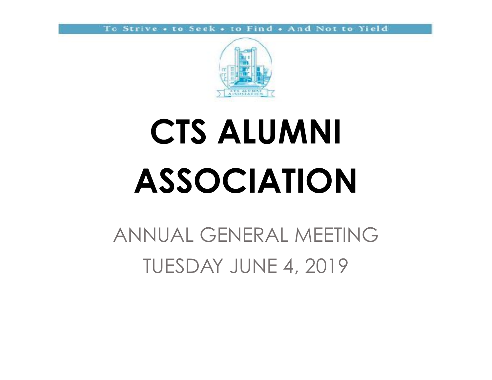

# **CTS ALUMNI ASSOCIATION**

## ANNUAL GENERAL MEETING TUESDAY JUNE 4, 2019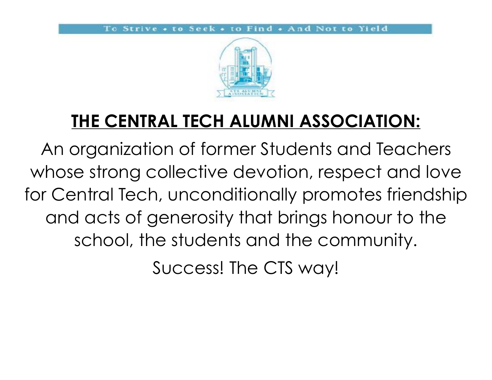

## **THE CENTRAL TECH ALUMNI ASSOCIATION:**

An organization of former Students and Teachers whose strong collective devotion, respect and love for Central Tech, unconditionally promotes friendship and acts of generosity that brings honour to the school, the students and the community.

Success! The CTS way!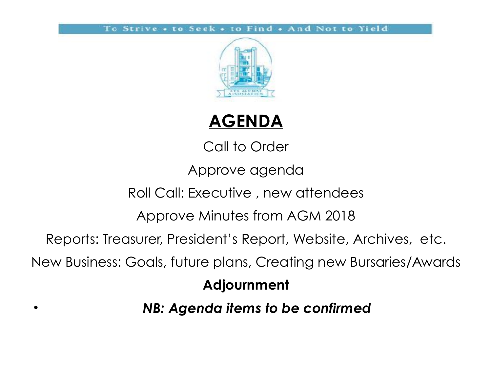



Call to Order

Approve agenda

Roll Call: Executive , new attendees

Approve Minutes from AGM 2018

Reports: Treasurer, President's Report, Website, Archives, etc.

New Business: Goals, future plans, Creating new Bursaries/Awards

**Adjournment**

• *NB: Agenda items to be confirmed*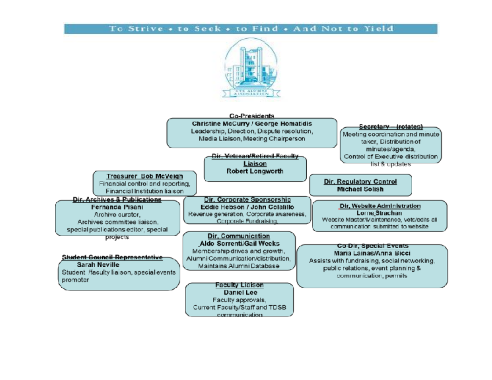

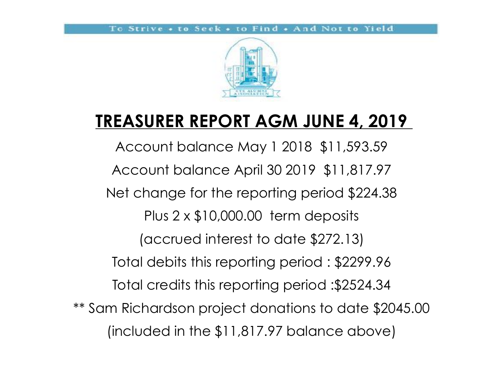

## **TREASURER REPORT AGM JUNE 4, 2019**

Account balance May 1 2018 \$11,593.59 Account balance April 30 2019 \$11,817.97 Net change for the reporting period \$224.38 Plus 2 x \$10,000.00 term deposits (accrued interest to date \$272.13) Total debits this reporting period : \$2299.96 Total credits this reporting period :\$2524.34 \*\* Sam Richardson project donations to date \$2045.00 (included in the \$11,817.97 balance above)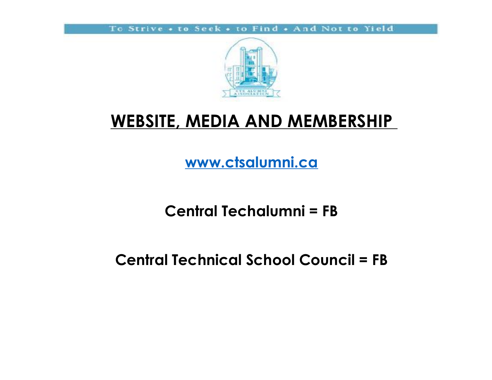

## WEBSITE, MEDIA AND MEMBERSHIP

**www.ctsalumni.ca**

**Central Techalumni = FB**

**Central Technical School Council = FB**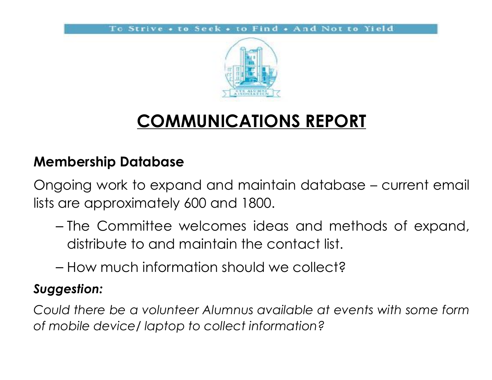

## **COMMUNICATIONS REPORT**

#### **Membership Database**

Ongoing work to expand and maintain database – current email lists are approximately 600 and 1800.

- The Committee welcomes ideas and methods of expand, distribute to and maintain the contact list.
- How much information should we collect?

#### *Suggestion:*

*Could there be a volunteer Alumnus available at events with some form of mobile device/ laptop to collect information?*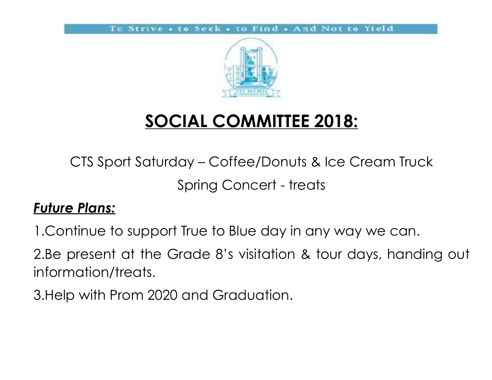

## **SOCIAL COMMITTEE 2018:**

CTS Sport Saturday – Coffee/Donuts & Ice Cream Truck Spring Concert - treats

#### *Future Plans:*

1.Continue to support True to Blue day in any way we can.

2.Be present at the Grade 8's visitation & tour days, handing out information/treats.

3.Help with Prom 2020 and Graduation.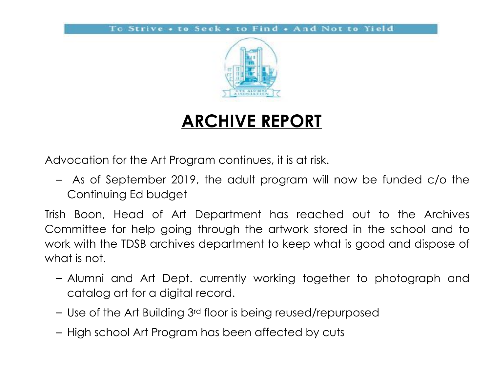

## **ARCHIVE REPORT**

Advocation for the Art Program continues, it is at risk.

– As of September 2019, the adult program will now be funded c/o the Continuing Ed budget

Trish Boon, Head of Art Department has reached out to the Archives Committee for help going through the artwork stored in the school and to work with the TDSB archives department to keep what is good and dispose of what is not.

- Alumni and Art Dept. currently working together to photograph and catalog art for a digital record.
- Use of the Art Building 3rd floor is being reused/repurposed
- High school Art Program has been affected by cuts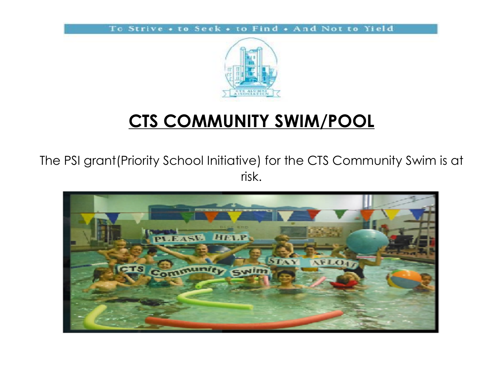

#### **CTS COMMUNITY SWIM/POOL**

The PSI grant(Priority School Initiative) for the CTS Community Swim is at risk.

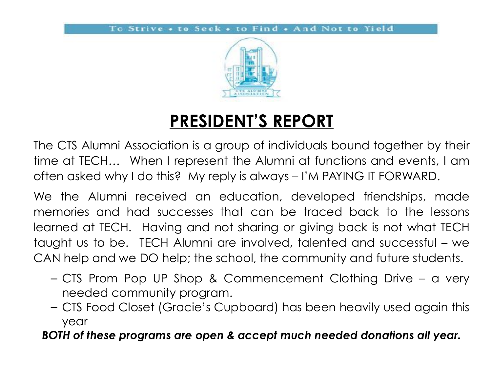

## **PRESIDENT'S REPORT**

The CTS Alumni Association is a group of individuals bound together by their time at TECH… When I represent the Alumni at functions and events, I am often asked why I do this? My reply is always – I'M PAYING IT FORWARD.

We the Alumni received an education, developed friendships, made memories and had successes that can be traced back to the lessons learned at TECH. Having and not sharing or giving back is not what TECH taught us to be. TECH Alumni are involved, talented and successful – we CAN help and we DO help; the school, the community and future students.

- CTS Prom Pop UP Shop & Commencement Clothing Drive a very needed community program.
- CTS Food Closet (Gracie's Cupboard) has been heavily used again this year

#### *BOTH of these programs are open & accept much needed donations all year.*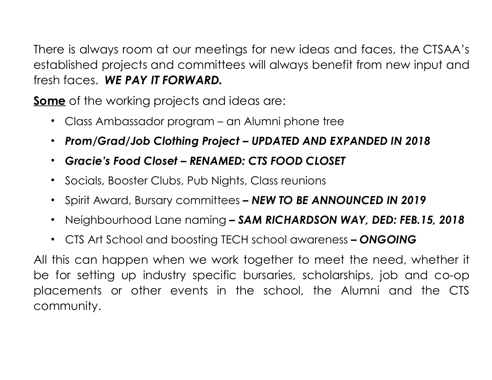There is always room at our meetings for new ideas and faces, the CTSAA's established projects and committees will always benefit from new input and fresh faces. *WE PAY IT FORWARD.*

**Some** of the working projects and ideas are:

- Class Ambassador program an Alumni phone tree
- *Prom/Grad/Job Clothing Project UPDATED AND EXPANDED IN 2018*
- *Gracie's Food Closet RENAMED: CTS FOOD CLOSET*
- Socials, Booster Clubs, Pub Nights, Class reunions
- Spirit Award, Bursary committees  *NEW TO BE ANNOUNCED IN 2019*
- Neighbourhood Lane naming  *SAM RICHARDSON WAY, DED: FEB.15, 2018*
- CTS Art School and boosting TECH school awareness  *ONGOING*

All this can happen when we work together to meet the need, whether it be for setting up industry specific bursaries, scholarships, job and co-op placements or other events in the school, the Alumni and the CTS community.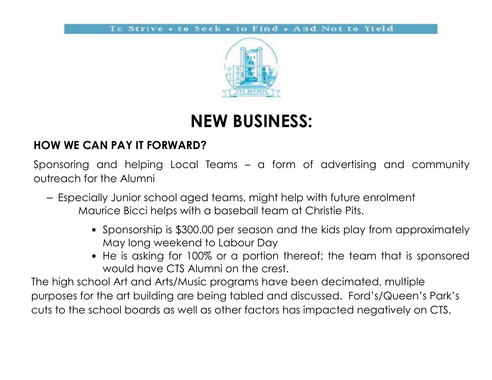

#### **NEW BUSINESS:**

#### **HOW WE CAN PAY IT FORWARD?**

Sponsoring and helping Local Teams – a form of advertising and community outreach for the Alumni

- Especially Junior school aged teams, might help with future enrolment Maurice Bicci helps with a baseball team at Christie Pits.
	- Sponsorship is \$300.00 per season and the kids play from approximately May long weekend to Labour Day
	- He is asking for 100% or a portion thereof; the team that is sponsored would have CTS Alumni on the crest.

The high school Art and Arts/Music programs have been decimated, multiple purposes for the art building are being tabled and discussed. Ford's/Queen's Park's cuts to the school boards as well as other factors has impacted negatively on CTS.